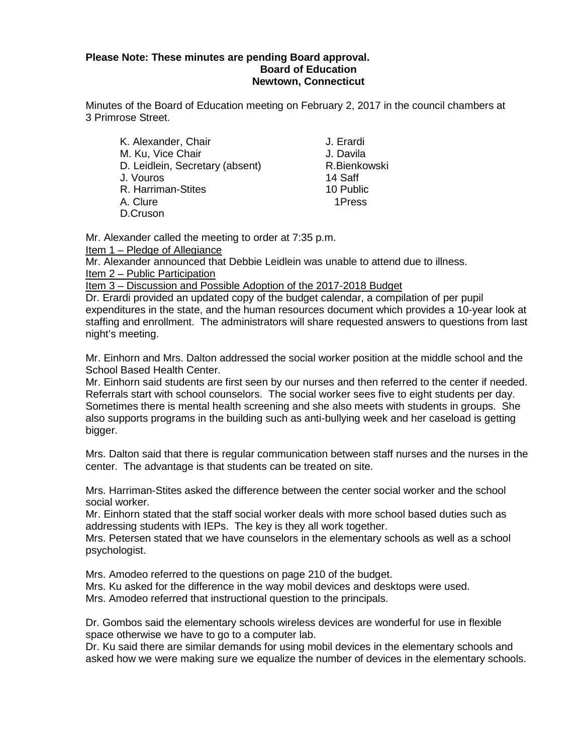#### **Please Note: These minutes are pending Board approval. Board of Education Newtown, Connecticut**

Minutes of the Board of Education meeting on February 2, 2017 in the council chambers at 3 Primrose Street.

| J. Erardi    |
|--------------|
| J. Davila    |
| R.Bienkowski |
| 14 Saff      |
| 10 Public    |
| 1Press       |
|              |
|              |

Mr. Alexander called the meeting to order at 7:35 p.m.

Item 1 – Pledge of Allegiance

Mr. Alexander announced that Debbie Leidlein was unable to attend due to illness. Item 2 – Public Participation

Item 3 – Discussion and Possible Adoption of the 2017-2018 Budget

Dr. Erardi provided an updated copy of the budget calendar, a compilation of per pupil expenditures in the state, and the human resources document which provides a 10-year look at staffing and enrollment. The administrators will share requested answers to questions from last night's meeting.

Mr. Einhorn and Mrs. Dalton addressed the social worker position at the middle school and the School Based Health Center.

Mr. Einhorn said students are first seen by our nurses and then referred to the center if needed. Referrals start with school counselors. The social worker sees five to eight students per day. Sometimes there is mental health screening and she also meets with students in groups. She also supports programs in the building such as anti-bullying week and her caseload is getting bigger.

Mrs. Dalton said that there is regular communication between staff nurses and the nurses in the center. The advantage is that students can be treated on site.

Mrs. Harriman-Stites asked the difference between the center social worker and the school social worker.

Mr. Einhorn stated that the staff social worker deals with more school based duties such as addressing students with IEPs. The key is they all work together.

Mrs. Petersen stated that we have counselors in the elementary schools as well as a school psychologist.

Mrs. Amodeo referred to the questions on page 210 of the budget.

Mrs. Ku asked for the difference in the way mobil devices and desktops were used. Mrs. Amodeo referred that instructional question to the principals.

Dr. Gombos said the elementary schools wireless devices are wonderful for use in flexible space otherwise we have to go to a computer lab.

Dr. Ku said there are similar demands for using mobil devices in the elementary schools and asked how we were making sure we equalize the number of devices in the elementary schools.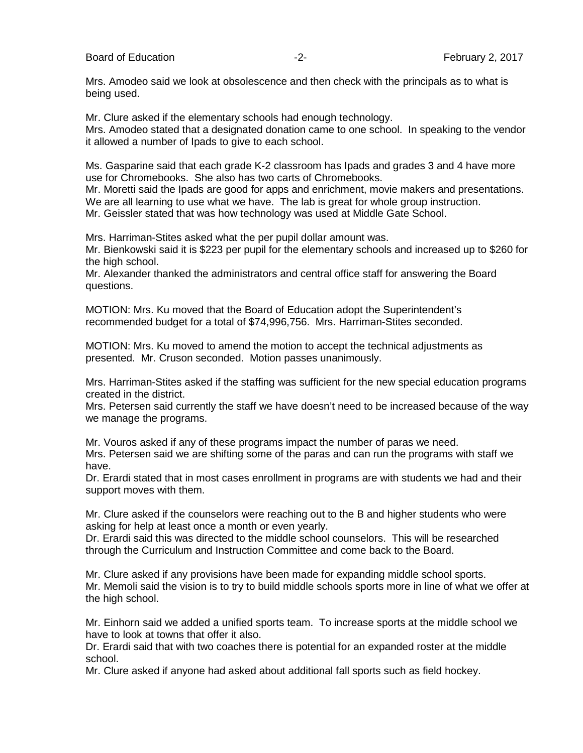Board of Education **-2-** February 2, 2017

Mrs. Amodeo said we look at obsolescence and then check with the principals as to what is being used.

Mr. Clure asked if the elementary schools had enough technology.

Mrs. Amodeo stated that a designated donation came to one school. In speaking to the vendor it allowed a number of Ipads to give to each school.

Ms. Gasparine said that each grade K-2 classroom has Ipads and grades 3 and 4 have more use for Chromebooks. She also has two carts of Chromebooks.

Mr. Moretti said the Ipads are good for apps and enrichment, movie makers and presentations. We are all learning to use what we have. The lab is great for whole group instruction. Mr. Geissler stated that was how technology was used at Middle Gate School.

Mrs. Harriman-Stites asked what the per pupil dollar amount was.

Mr. Bienkowski said it is \$223 per pupil for the elementary schools and increased up to \$260 for the high school.

Mr. Alexander thanked the administrators and central office staff for answering the Board questions.

MOTION: Mrs. Ku moved that the Board of Education adopt the Superintendent's recommended budget for a total of \$74,996,756. Mrs. Harriman-Stites seconded.

MOTION: Mrs. Ku moved to amend the motion to accept the technical adjustments as presented. Mr. Cruson seconded. Motion passes unanimously.

Mrs. Harriman-Stites asked if the staffing was sufficient for the new special education programs created in the district.

Mrs. Petersen said currently the staff we have doesn't need to be increased because of the way we manage the programs.

Mr. Vouros asked if any of these programs impact the number of paras we need. Mrs. Petersen said we are shifting some of the paras and can run the programs with staff we have.

Dr. Erardi stated that in most cases enrollment in programs are with students we had and their support moves with them.

Mr. Clure asked if the counselors were reaching out to the B and higher students who were asking for help at least once a month or even yearly.

Dr. Erardi said this was directed to the middle school counselors. This will be researched through the Curriculum and Instruction Committee and come back to the Board.

Mr. Clure asked if any provisions have been made for expanding middle school sports. Mr. Memoli said the vision is to try to build middle schools sports more in line of what we offer at the high school.

Mr. Einhorn said we added a unified sports team. To increase sports at the middle school we have to look at towns that offer it also.

Dr. Erardi said that with two coaches there is potential for an expanded roster at the middle school.

Mr. Clure asked if anyone had asked about additional fall sports such as field hockey.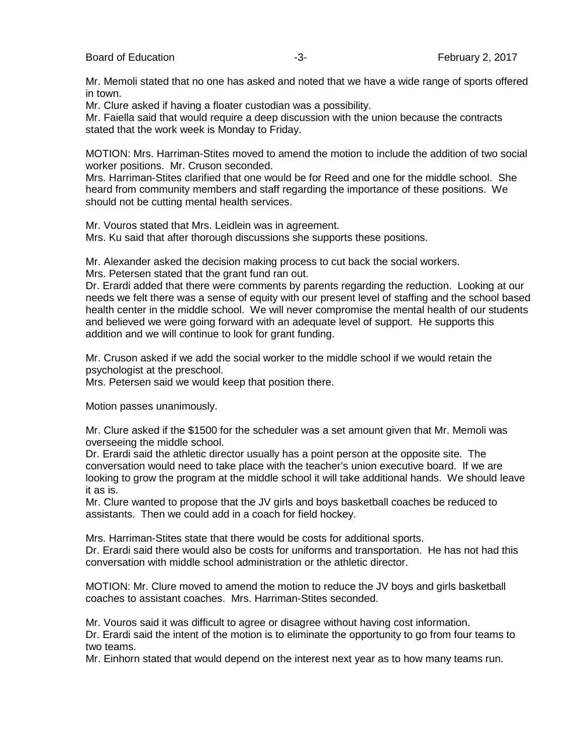Mr. Memoli stated that no one has asked and noted that we have a wide range of sports offered in town.

Mr. Clure asked if having a floater custodian was a possibility.

Mr. Faiella said that would require a deep discussion with the union because the contracts stated that the work week is Monday to Friday.

MOTION: Mrs. Harriman-Stites moved to amend the motion to include the addition of two social worker positions. Mr. Cruson seconded.

Mrs. Harriman-Stites clarified that one would be for Reed and one for the middle school. She heard from community members and staff regarding the importance of these positions. We should not be cutting mental health services.

Mr. Vouros stated that Mrs. Leidlein was in agreement. Mrs. Ku said that after thorough discussions she supports these positions.

Mr. Alexander asked the decision making process to cut back the social workers. Mrs. Petersen stated that the grant fund ran out.

Dr. Erardi added that there were comments by parents regarding the reduction. Looking at our needs we felt there was a sense of equity with our present level of staffing and the school based health center in the middle school. We will never compromise the mental health of our students and believed we were going forward with an adequate level of support. He supports this addition and we will continue to look for grant funding.

Mr. Cruson asked if we add the social worker to the middle school if we would retain the psychologist at the preschool.

Mrs. Petersen said we would keep that position there.

Motion passes unanimously.

Mr. Clure asked if the \$1500 for the scheduler was a set amount given that Mr. Memoli was overseeing the middle school.

Dr. Erardi said the athletic director usually has a point person at the opposite site. The conversation would need to take place with the teacher's union executive board. If we are looking to grow the program at the middle school it will take additional hands. We should leave it as is.

Mr. Clure wanted to propose that the JV girls and boys basketball coaches be reduced to assistants. Then we could add in a coach for field hockey.

Mrs. Harriman-Stites state that there would be costs for additional sports. Dr. Erardi said there would also be costs for uniforms and transportation. He has not had this conversation with middle school administration or the athletic director.

MOTION: Mr. Clure moved to amend the motion to reduce the JV boys and girls basketball coaches to assistant coaches. Mrs. Harriman-Stites seconded.

Mr. Vouros said it was difficult to agree or disagree without having cost information.

Dr. Erardi said the intent of the motion is to eliminate the opportunity to go from four teams to two teams.

Mr. Einhorn stated that would depend on the interest next year as to how many teams run.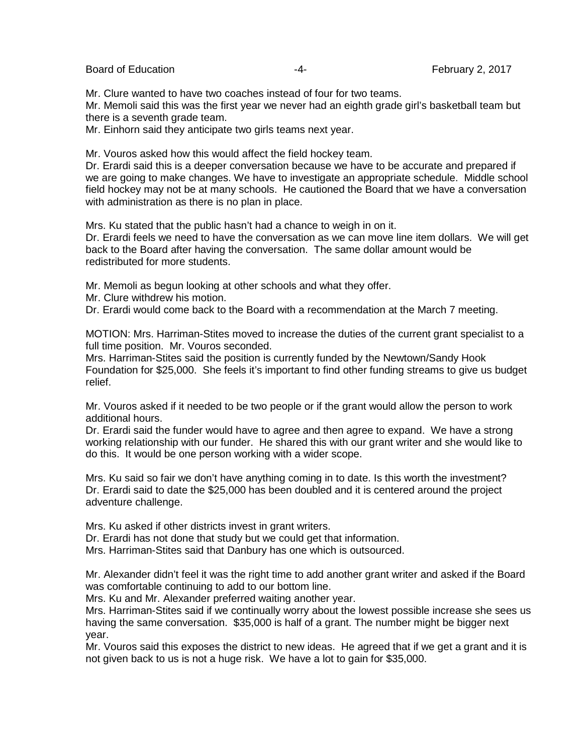Board of Education **Example 2, 2017 February 2, 2017** 

Mr. Clure wanted to have two coaches instead of four for two teams.

Mr. Memoli said this was the first year we never had an eighth grade girl's basketball team but there is a seventh grade team.

Mr. Einhorn said they anticipate two girls teams next year.

Mr. Vouros asked how this would affect the field hockey team.

Dr. Erardi said this is a deeper conversation because we have to be accurate and prepared if we are going to make changes. We have to investigate an appropriate schedule. Middle school field hockey may not be at many schools. He cautioned the Board that we have a conversation with administration as there is no plan in place.

Mrs. Ku stated that the public hasn't had a chance to weigh in on it.

Dr. Erardi feels we need to have the conversation as we can move line item dollars. We will get back to the Board after having the conversation. The same dollar amount would be redistributed for more students.

Mr. Memoli as begun looking at other schools and what they offer.

Mr. Clure withdrew his motion.

Dr. Erardi would come back to the Board with a recommendation at the March 7 meeting.

MOTION: Mrs. Harriman-Stites moved to increase the duties of the current grant specialist to a full time position. Mr. Vouros seconded.

Mrs. Harriman-Stites said the position is currently funded by the Newtown/Sandy Hook Foundation for \$25,000. She feels it's important to find other funding streams to give us budget relief.

Mr. Vouros asked if it needed to be two people or if the grant would allow the person to work additional hours.

Dr. Erardi said the funder would have to agree and then agree to expand. We have a strong working relationship with our funder. He shared this with our grant writer and she would like to do this. It would be one person working with a wider scope.

Mrs. Ku said so fair we don't have anything coming in to date. Is this worth the investment? Dr. Erardi said to date the \$25,000 has been doubled and it is centered around the project adventure challenge.

Mrs. Ku asked if other districts invest in grant writers.

Dr. Erardi has not done that study but we could get that information.

Mrs. Harriman-Stites said that Danbury has one which is outsourced.

Mr. Alexander didn't feel it was the right time to add another grant writer and asked if the Board was comfortable continuing to add to our bottom line.

Mrs. Ku and Mr. Alexander preferred waiting another year.

Mrs. Harriman-Stites said if we continually worry about the lowest possible increase she sees us having the same conversation. \$35,000 is half of a grant. The number might be bigger next year.

Mr. Vouros said this exposes the district to new ideas. He agreed that if we get a grant and it is not given back to us is not a huge risk. We have a lot to gain for \$35,000.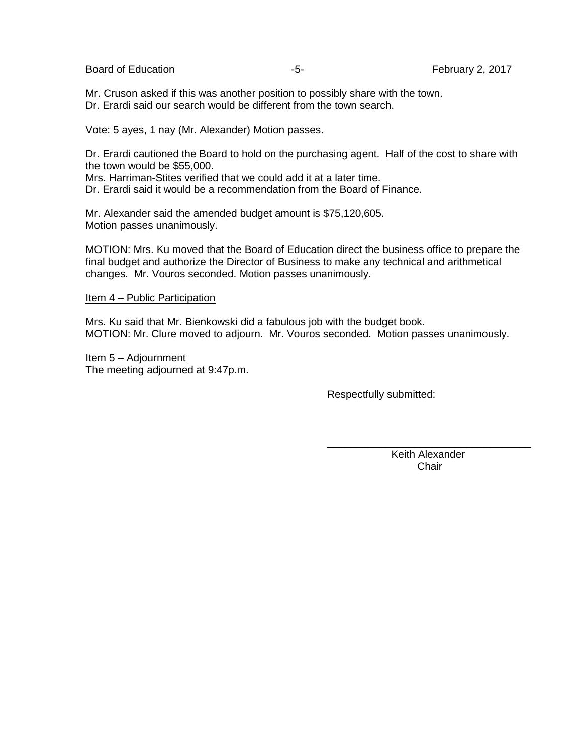Board of Education **-5-** February 2, 2017

Mr. Cruson asked if this was another position to possibly share with the town. Dr. Erardi said our search would be different from the town search.

Vote: 5 ayes, 1 nay (Mr. Alexander) Motion passes.

Dr. Erardi cautioned the Board to hold on the purchasing agent. Half of the cost to share with the town would be \$55,000.

Mrs. Harriman-Stites verified that we could add it at a later time. Dr. Erardi said it would be a recommendation from the Board of Finance.

Mr. Alexander said the amended budget amount is \$75,120,605. Motion passes unanimously.

MOTION: Mrs. Ku moved that the Board of Education direct the business office to prepare the final budget and authorize the Director of Business to make any technical and arithmetical changes. Mr. Vouros seconded. Motion passes unanimously.

Item 4 – Public Participation

Mrs. Ku said that Mr. Bienkowski did a fabulous job with the budget book. MOTION: Mr. Clure moved to adjourn. Mr. Vouros seconded. Motion passes unanimously.

 $\overline{\phantom{a}}$  , which is a set of the contract of the contract of the contract of the contract of the contract of the contract of the contract of the contract of the contract of the contract of the contract of the contract

Item 5 – Adjournment The meeting adjourned at 9:47p.m.

Respectfully submitted:

 Keith Alexander **Chair**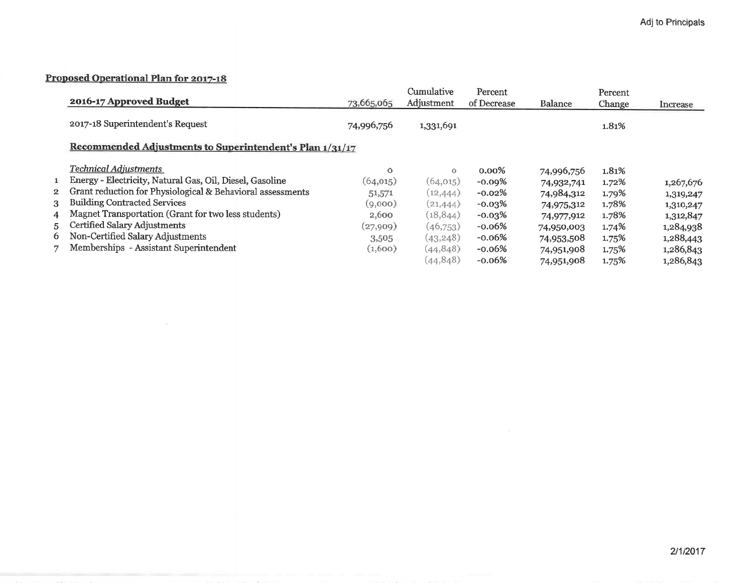#### Proposed Operational Plan for 2017-18

 $\langle \, \alpha \, \rangle$ 

|   |                                                              |            | Cumulative | Percent     |                | Percent |           |
|---|--------------------------------------------------------------|------------|------------|-------------|----------------|---------|-----------|
|   | 2016-17 Approved Budget                                      | 73,665,065 | Adjustment | of Decrease | <b>Balance</b> | Change  | Increase  |
|   | 2017-18 Superintendent's Request                             | 74,996,756 | 1,331,691  |             |                | 1.81%   |           |
|   | Recommended Adjustments to Superintendent's Plan 1/31/17     |            |            |             |                |         |           |
|   | Technical Adiustments                                        | $\Omega$   | $\circ$    | $0.00\%$    | 74,996,756     | 1.81%   |           |
|   | 1 Energy - Electricity, Natural Gas, Oil, Diesel, Gasoline   | (64, 015)  | (64, 015)  | $-0.09%$    | 74,932,741     | 1.72%   | 1,267,676 |
|   | 2 Grant reduction for Physiological & Behavioral assessments | 51,571     | (12, 444)  | $-0.02\%$   | 74,984,312     | 1.79%   | 1,319,247 |
|   | 3 Building Contracted Services                               | (9,000)    | (21, 444)  | $-0.03\%$   | 74,975,312     | 1.78%   | 1,310,247 |
|   | 4 Magnet Transportation (Grant for two less students)        | 2,600      | (18, 844)  | $-0.03\%$   | 74,977,912     | 1.78%   | 1,312,847 |
|   | 5 Certified Salary Adjustments                               | (27,909)   | (46,753)   | $-0.06%$    | 74,950,003     | 1.74%   | 1,284,938 |
|   | 6 Non-Certified Salary Adjustments                           | 3,505      | (43, 248)  | $-0.06%$    | 74,953,508     | 1.75%   | 1,288,443 |
| 7 | Memberships - Assistant Superintendent                       | (1,600)    | (44, 848)  | $-0.06%$    | 74,951,908     | 1.75%   | 1,286,843 |
|   |                                                              |            | (44, 848)  | $-0.06%$    | 74,951,908     | 1.75%   | 1,286,843 |

 $\mathcal{L}^{\mathcal{L}}$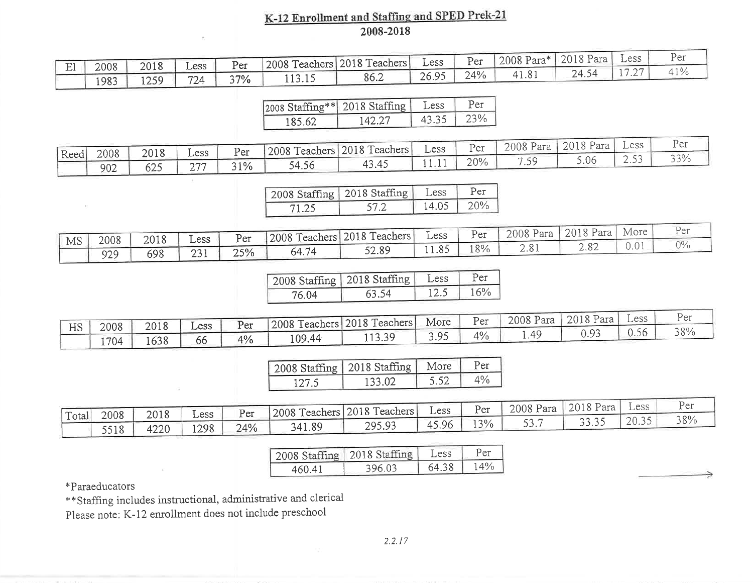## K-12 Enrollment and Staffing and SPED Prek-21<br>2008-2018

| $\sim$ |      | 2018 |      | $\mathbf{p}_{\alpha r}$ | 2008 To<br>l'eachers                         | 2018 Teachers | $_{\text{L}}$ ess | $\sim$<br>Per | 2008 Para*                   | 2018 P<br>Para | Less                     | ุ่µื้อา |
|--------|------|------|------|-------------------------|----------------------------------------------|---------------|-------------------|---------------|------------------------------|----------------|--------------------------|---------|
| ᅭ      | 2008 |      | Less | ⊥ ∪⊥                    |                                              |               |                   |               |                              |                | $ -$                     | 10      |
|        | 1983 | 1250 | 724  | 37%                     | $\bullet \bullet \bullet \bullet$<br>ں 1 ۔ ت | 86.2          | 2695<br>ムい・フン     | 24%           | — — 1<br>$\cdot \cdot \circ$ | 24.3           | $\overline{\phantom{a}}$ |         |

|        | 2008 Staffing** 2018 Staffing | Less  | Per. |
|--------|-------------------------------|-------|------|
| 185.62 | 142.27                        | 43.35 | 23%  |

|      | 2008 | 2018       | $_{\rm LESS}$        | Per | 2008 Te | <b>Feachers</b> 2018 Teachers | $_{\rm LESS}$ | Per | 2008 Para            | 2018 Para | Less     | レュー                  |
|------|------|------------|----------------------|-----|---------|-------------------------------|---------------|-----|----------------------|-----------|----------|----------------------|
| Reed |      | $\sqrt{2}$ | $\sim$ $\sim$ $\sim$ |     |         | .3.45<br>4∸                   |               | 20% | $\sim$ $\sim$ $\sim$ | 5.06      | <u>.</u> | $\cap$ $\cap$ $\cap$ |
|      | 902  | כ∠ס        | ∼                    | 31% | 54.56   |                               | <b>*****</b>  |     |                      |           |          |                      |

|       | 2008 Staffing   2018 Staffing   Less |       | Per    |
|-------|--------------------------------------|-------|--------|
| 71.25 | 57.2                                 | 14.05 | $20\%$ |

|    | 2008 | 2010   | Less                        | $p_{\alpha r}$ | 2008 Teachers | 2018 Teachers | $_{\rm L}$ ess | Per   | 2008 Pa<br>Para                   | 2018 Para              | More | ۳۵۳                |
|----|------|--------|-----------------------------|----------------|---------------|---------------|----------------|-------|-----------------------------------|------------------------|------|--------------------|
| MS |      | ہ ⊥ ∪∡ |                             | ັບມ            |               |               | 11.85          | 80/6  | $\cap$ $\cap$ 1<br>$\angle$ . O . | $\cap$ $\circ$<br>2.OZ | ◡ ◦  | $\bigcap_{\alpha}$ |
|    | 929  | 698    | $\sim$ $\sim$ $\sim$<br>231 | 25%            | A74<br>64.,   | 52.89         |                | 2 V / |                                   |                        |      |                    |

|       | 2008 Staffing   2018 Staffing   Less |      | Per |
|-------|--------------------------------------|------|-----|
| 76.04 | 63.54                                | 12.5 | 16% |

|    | 2008 | 2018            | $L$ ess | Per | 2008 Te | Teachers 2018 Teachers | More     | $P_{\rm cr}$ | 2008 Para | 2018 Para           | $-$ ess         | Vor |
|----|------|-----------------|---------|-----|---------|------------------------|----------|--------------|-----------|---------------------|-----------------|-----|
| HS |      |                 |         |     |         | 11330                  | 205      | 4%           | .49       | $\cup \cdot \times$ | $\cup\cdot\cup$ | 38% |
|    | 1704 | $\sim$<br>1638. | ხხ      | 4%  | 109.44  | 11 J .J .              | <u>.</u> |              |           |                     |                 |     |

|       | 2008 Staffing   2018 Staffing   More |      | Per |
|-------|--------------------------------------|------|-----|
| 127.5 | 133.02                               | 5.52 |     |

|         |                     | 2018           | Less        | Per | 2008 Teachers 2018 Teac | l'eachers | $_{\rm \mathcal{L}$ ess | Per   | 2008 Para   | 2018 Para     | Less              | しっぃ |
|---------|---------------------|----------------|-------------|-----|-------------------------|-----------|-------------------------|-------|-------------|---------------|-------------------|-----|
| 'Total, | 2008                |                |             |     |                         | 295.93    | 15.96<br>"⊥             | $3\%$ | -n -        | 2225<br>----- | $\cap$<br>ر ر ں ر | 38% |
|         | 5510<br><u>JJ10</u> | 1つつ ()<br>⊦∠∠∪ | 1298<br>14/ | 24% | 341.89                  |           |                         |       | <i>--</i> - |               |                   |     |

|        | 2008 Staffing   2018 Staffing | Less  | Per    |
|--------|-------------------------------|-------|--------|
| 460.41 | 396.03                        | 64.38 | $14\%$ |

\*Paraeducators

\*\* Staffing includes instructional, administrative and clerical

Please note: K-12 enrollment does not include preschool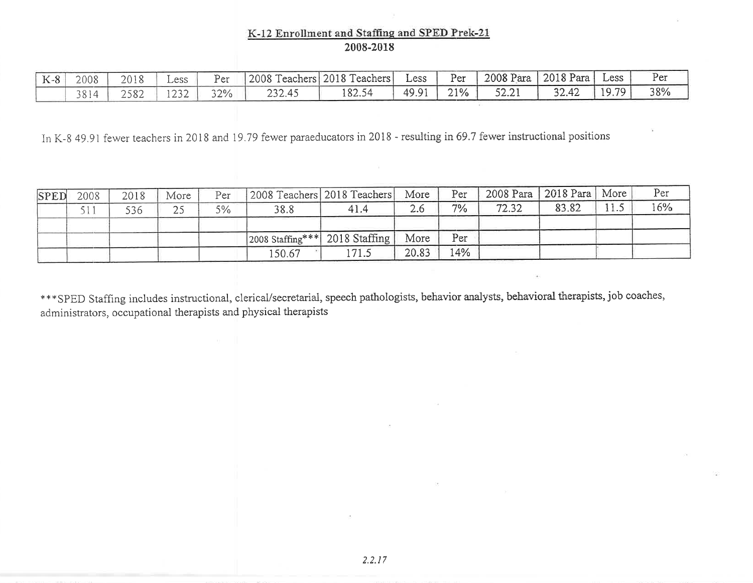#### K-12 Enrollment and Staffing and SPED Prek-21 2008-2018

| $K-8$ | 2008 | 2018 | $\_ess$              | Per | 2008 Te | Teachers 2018 Teachers | $\_ess$ | Per | 2008 Para   2018 Para | Less | Per |
|-------|------|------|----------------------|-----|---------|------------------------|---------|-----|-----------------------|------|-----|
|       | 3814 | 2582 | $\sim$ $\sim$ $\sim$ | 32% | 232.45  | 182.54                 | 49.91   | 21% | 32.42                 | 1979 | 38% |

In K-8 49.91 fewer teachers in 2018 and 19.79 fewer paraeducators in 2018 - resulting in 69.7 fewer instructional positions

| <b>SPED</b> | 2008 | 2018 | More | Per | [2008 Teachers] 2018 Teachers]                |      | More  | Per | 2008 Para   2018 Para   More |       | Per |
|-------------|------|------|------|-----|-----------------------------------------------|------|-------|-----|------------------------------|-------|-----|
|             |      | 536  |      | 5%  | 38.8                                          | 41.4 | 2.6   | 7%  | 72.32                        | 83.82 | 16% |
|             |      |      |      |     | $ 2008 \text{ Staffing}^{***} $ 2018 Staffing |      | More  | Per |                              |       |     |
|             |      |      |      |     | 150.67                                        | 71.5 | 20.83 | 14% |                              |       |     |

\*\*\*SPED Staffing includes instructional, clerical/secretarial, speech pathologists, behavior analysts, behavioral therapists, job coaches, administrators, occupational therapists and physical therapists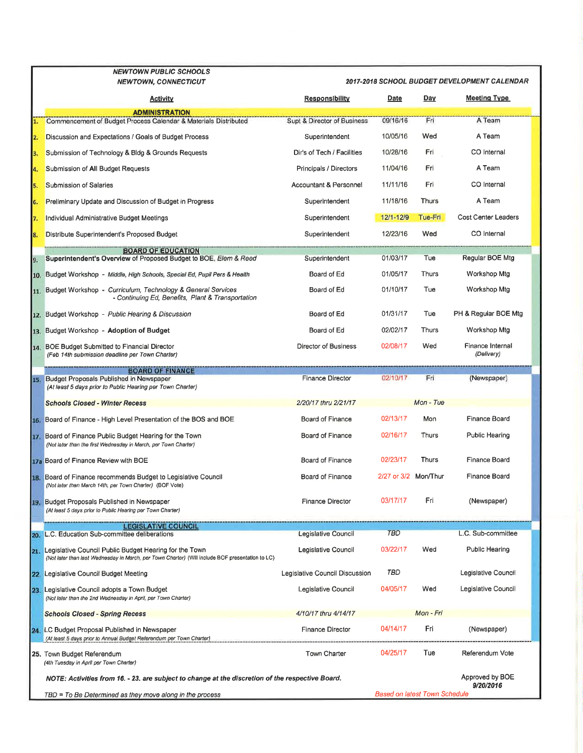|     | NEWTOWN PUBLIC SCHOOLS                                                                                                                                     |                                |                      |                |                                              |  |  |  |  |
|-----|------------------------------------------------------------------------------------------------------------------------------------------------------------|--------------------------------|----------------------|----------------|----------------------------------------------|--|--|--|--|
|     | <b>NEWTOWN, CONNECTICUT</b>                                                                                                                                |                                |                      |                | 2017-2018 SCHOOL BUDGET DEVELOPMENT CALENDAR |  |  |  |  |
|     | <b>Activity</b>                                                                                                                                            | Responsibility                 | Date                 | Day            | <b>Meeting Type</b>                          |  |  |  |  |
|     | ADMINISTRATION<br>Commencement of Budget Process Calendar & Materials Distributed                                                                          | Supt & Director of Business    | 09/16/16             | Fri            | A Team                                       |  |  |  |  |
| 2.  | Discussion and Expectations / Goals of Budget Process                                                                                                      | Superintendent                 | 10/05/16             | Wed            | A Team                                       |  |  |  |  |
| В.  | Submission of Technology & Bldg & Grounds Requests                                                                                                         | Dir's of Tech / Facilities     | 10/28/16             | Fri            | CO Internal                                  |  |  |  |  |
| 14. | Submission of All Budget Requests                                                                                                                          | Principals / Directors         | 11/04/16             | Fri            | A Team                                       |  |  |  |  |
| 5.  | Submission of Salaries                                                                                                                                     | Accountant & Personnel         | 11/11/16             | Fri            | CO Internal                                  |  |  |  |  |
| 6.  | Preliminary Update and Discussion of Budget in Progress                                                                                                    | Superintendent                 | 11/18/16             | <b>Thurs</b>   | A Team                                       |  |  |  |  |
| 17. | Individual Administrative Budget Meetings                                                                                                                  | Superintendent                 | $12/1 - 12/9$        | <b>Tue-Fri</b> | Cost Center Leaders                          |  |  |  |  |
| 8.  | Distribute Superintendent's Proposed Budget                                                                                                                | Superintendent                 | 12/23/16             | Wed            | CO Internal                                  |  |  |  |  |
|     | <b>BOARD OF EDUCATION</b>                                                                                                                                  |                                |                      |                |                                              |  |  |  |  |
| 9.  | Superintendent's Overview of Proposed Budget to BOE, Elem & Reed                                                                                           | Superintendent                 | 01/03/17             | Tue            | Regular BOE Mtg                              |  |  |  |  |
| 10. | Budget Workshop - Middle, High Schools, Special Ed, Pupil Pers & Health                                                                                    | Board of Ed                    | 01/05/17             | Thurs          | Workshop Mtg                                 |  |  |  |  |
|     | 11. Budget Workshop - Curriculum, Technology & General Services<br>- Continuing Ed, Benefits, Plant & Transportation                                       | Board of Ed                    | 01/10/17             | Tue            | Workshop Mtg                                 |  |  |  |  |
|     | 12. Budget Workshop - Public Hearing & Discussion                                                                                                          | Board of Ed                    | 01/31/17             | Tue            | PH & Regular BOE Mtg                         |  |  |  |  |
| 13. | Budget Workshop - Adoption of Budget                                                                                                                       | Board of Ed                    | 02/02/17             | Thurs          | Workshop Mtg                                 |  |  |  |  |
|     | 14. BOE Budget Submitted to Financial Director<br>(Feb 14th submission deadline per Town Charter)                                                          | Director of Business           | 02/08/17             | Wed            | Finance Internal<br>(Delivery)               |  |  |  |  |
|     | <b>BOARD OF FINANCE</b>                                                                                                                                    |                                | 02/10/17             | Fri            |                                              |  |  |  |  |
| 15. | Budget Proposals Published in Newspaper<br>(At least 5 days prior to Public Hearing per Town Charter)                                                      | <b>Finance Director</b>        |                      |                | (Newspaper)                                  |  |  |  |  |
|     | <b>Schools Closed - Winter Recess</b>                                                                                                                      | 2/20/17 thru 2/21/17           |                      | $Mon$ - Tue    |                                              |  |  |  |  |
|     | 16. Board of Finance - High Level Presentation of the BOS and BOE                                                                                          | Board of Finance               | 02/13/17             | Mon            | Finance Board                                |  |  |  |  |
|     | 17. Board of Finance Public Budget Hearing for the Town<br>(Not later than the first Wednesday in March, per Town Charter)                                 | <b>Board of Finance</b>        | 02/16/17             | Thurs          | Public Hearing                               |  |  |  |  |
|     | 17a Board of Finance Review with BOE                                                                                                                       | <b>Board of Finance</b>        | 02/23/17             | <b>Thurs</b>   | Finance Board                                |  |  |  |  |
|     | 18. Board of Finance recommends Budget to Legislative Council<br>(Not later than March 14th, per Town Charter) (BOF Vote)                                  | <b>Board of Finance</b>        | 2/27 or 3/2 Mon/Thur |                | Finance Board                                |  |  |  |  |
| 19. | Budget Proposals Published in Newspaper<br>(At least 5 days prior to Public Hearing per Town Charter)                                                      | <b>Finance Director</b>        | 03/17/17             | Fri            | (Newspaper)                                  |  |  |  |  |
|     | <b>LEGISLATIVE COUNCIL</b>                                                                                                                                 |                                |                      |                |                                              |  |  |  |  |
| 20. | L.C. Education Sub-committee deliberations                                                                                                                 | Legislative Council            | <b>TBD</b>           |                | L.C. Sub-committee                           |  |  |  |  |
| 21. | Legislative Council Public Budget Hearing for the Town<br>(Not later than last Wednesday in March, per Town Charter) (WIII include BOF presentation to LC) | Legislative Council            | 03/22/17             | Wed            | Public Hearing                               |  |  |  |  |
| 22. | Legislative Council Budget Meeting                                                                                                                         | Legislative Council Discussion | TBD                  |                | Legislative Council                          |  |  |  |  |
| 23. | Legislative Council adopts a Town Budget<br>(Not later than the 2nd Wednesday in April, per Town Charter)                                                  | Legislative Council            | 04/05/17             | Wed            | Legislative Council                          |  |  |  |  |
|     | <b>Schools Closed - Spring Recess</b>                                                                                                                      | 4/10/17 thru 4/14/17           |                      | Mon - Fri      |                                              |  |  |  |  |
| 24. | LC Budget Proposal Published in Newspaper<br>(At least 5 days prior to Annual Budget Referendum per Town Charter)                                          | <b>Finance Director</b>        | 04/14/17             | Fri            | (Newspaper)                                  |  |  |  |  |
|     | 25. Town Budget Referendum<br>(4th Tuesday in April per Town Charler)                                                                                      | <b>Town Charter</b>            | 04/25/17             | Tue            | Referendum Vote                              |  |  |  |  |
|     | NOTE: Activities from 16. - 23. are subject to change at the discretion of the respective Board.                                                           |                                |                      |                | Approved by BOE<br>9/20/2016                 |  |  |  |  |
|     | <b>Based on latest Town Schedule</b><br>TBD = To Be Determined as they move along in the process                                                           |                                |                      |                |                                              |  |  |  |  |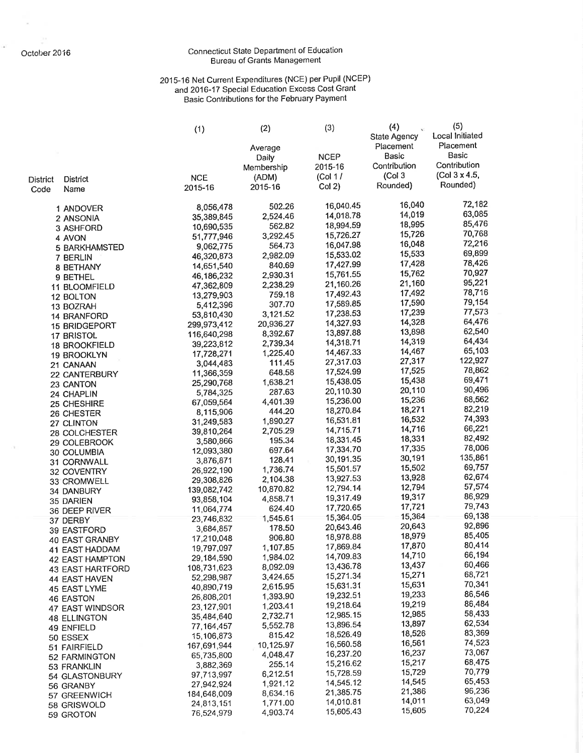ŵ

ó.

### Connecticut State Department of Education<br>Bureau of Grants Management

# 2015-16 Net Current Expenditures (NCE) per Pupil (NCEP)<br>and 2016-17 Special Education Excess Cost Grant<br>Basic Contributions for the February Payment

|                 |                                  | (1)                       | (2)                  | (3)                    | (4)<br><b>State Agency</b> | (5)<br>Local Initiated    |
|-----------------|----------------------------------|---------------------------|----------------------|------------------------|----------------------------|---------------------------|
|                 |                                  |                           | Average              | <b>NCEP</b>            | Placement<br>Basic         | Placement<br><b>Basic</b> |
|                 |                                  |                           | Daily<br>Membership  | 2015-16                | Contribution               | Contribution              |
| <b>District</b> | <b>District</b>                  | <b>NCE</b>                | (ADM)                | (Col 1/                | (Col <sub>3</sub> )        | (Col 3 x 4.5,             |
| Code            | Name                             | 2015-16                   | 2015-16              | Col(2)                 | Rounded)                   | Rounded)                  |
|                 | 1 ANDOVER                        | 8,056,478                 | 502.26               | 16,040.45              | 16,040                     | 72,182                    |
|                 | 2 ANSONIA                        | 35,389,845                | 2,524.46             | 14,018.78              | 14,019                     | 63,085                    |
|                 | 3 ASHFORD                        | 10,690,535                | 562.82               | 18,994.59              | 18,995                     | 85,476<br>70,768          |
|                 | 4 AVON                           | 51,777,946                | 3,292.45             | 15,726.27              | 15,726<br>16,048           | 72,216                    |
|                 | <b>5 BARKHAMSTED</b>             | 9,062,775<br>46,320,873   | 564.73<br>2,982.09   | 16,047.98<br>15,533.02 | 15,533                     | 69,899                    |
|                 | 7 BERLIN<br>8 BETHANY            | 14,651,540                | 840.69               | 17,427.99              | 17,428                     | 78,426                    |
|                 | 9 BETHEL                         | 46,186,232                | 2,930.31             | 15,761.55              | 15,762                     | 70,927                    |
|                 | 11 BLOOMFIELD                    | 47,362,809                | 2,238.29             | 21,160.26              | 21,160                     | 95,221                    |
|                 | 12 BOLTON                        | 13,279,903                | 759.18               | 17,492.43              | 17,492                     | 78,716                    |
|                 | 13 BOZRAH                        | 5,412,396                 | 307.70               | 17,589.85              | 17,590                     | 79,154                    |
|                 | <b>14 BRANFORD</b>               | 53,810,430                | 3,121.52             | 17,238.53              | 17,239                     | 77,573<br>64,476          |
|                 | <b>15 BRIDGEPORT</b>             | 299,973,412               | 20,936.27            | 14,327.93              | 14,328<br>13,898           | 62,540                    |
|                 | 17 BRISTOL                       | 116,640,298               | 8,392.67             | 13,897.88<br>14,318.71 | 14,319                     | 64,434                    |
|                 | <b>18 BROOKFIELD</b>             | 39,223,812                | 2,739.34<br>1,225.40 | 14,467.33              | 14,467                     | 65,103                    |
|                 | 19 BROOKLYN                      | 17,728,271<br>3,044,483   | 111.45               | 27,317.03              | 27,317                     | 122,927                   |
|                 | 21 CANAAN<br>22 CANTERBURY       | 11,366,359                | 648.58               | 17,524.99              | 17,525                     | 78,862                    |
|                 | 23 CANTON                        | 25,290,768                | 1,638.21             | 15,438.05              | 15,438                     | 69,471                    |
|                 | 24 CHAPLIN                       | 5,784,325                 | 287.63               | 20,110.30              | 20,110                     | 90,496                    |
|                 | 25 CHESHIRE                      | 67,059,564                | 4,401.39             | 15,236.00              | 15,236                     | 68,562                    |
|                 | 26 CHESTER                       | 8,115,906                 | 444.20               | 18,270.84              | 18,271                     | 82,219                    |
|                 | 27 CLINTON                       | 31,249,583                | 1,890.27             | 16,531.81              | 16,532                     | 74,393                    |
|                 | 28 COLCHESTER                    | 39,810,264                | 2,705.29             | 14,715.71              | 14,716<br>18,331           | 66,221<br>82,492          |
|                 | 29 COLEBROOK                     | 3,580,866                 | 195.34               | 18,331.45<br>17,334.70 | 17,335                     | 78,006                    |
|                 | 30 COLUMBIA                      | 12,093,380                | 697.64<br>128.41     | 30,191.35              | 30,191                     | 135,861                   |
|                 | 31 CORNWALL                      | 3,876,871<br>26,922,190   | 1,736.74             | 15,501.57              | 15,502                     | 69,757                    |
|                 | 32 COVENTRY                      | 29,308,826                | 2,104.38             | 13,927.53              | 13,928                     | 62,674                    |
|                 | 33 CROMWELL<br>34 DANBURY        | 139,082,742               | 10,870.82            | 12,794.14              | 12,794                     | 57,574                    |
|                 | 35 DARIEN                        | 93,858,104                | 4,858.71             | 19,317.49              | 19,317                     | 86,929                    |
|                 | 36 DEEP RIVER                    | 11,064,774                | 624.40               | 17,720.65              | 17,721                     | 79,743                    |
|                 | 37 DERBY                         | 23,746,832                | 1,545.61             | 15,364.05              | 15,364                     | 69,138                    |
|                 | 39 EASTFORD                      | 3,684,857                 | 178.50               | 20,643.46              | 20,643                     | 92,896                    |
|                 | 40 EAST GRANBY                   | 17,210,048                | 906.80               | 18,978.88              | 18,979<br>17,870           | 85,405<br>80,414          |
|                 | 41 EAST HADDAM                   | 19,797,097                | 1,107.85             | 17,869.84<br>14,709.83 | 14,710                     | 66,194                    |
|                 | <b>42 EAST HAMPTON</b>           | 29,184,590                | 1,984.02             | 13,436.78              | 13,437                     | 60,466                    |
|                 | <b>43 EAST HARTFORD</b>          | 108,731,623<br>52,298,987 | 8,092.09<br>3,424.65 | 15,271.34              | 15,271                     | 68,721                    |
|                 | 44 EAST HAVEN                    | 40,890,719                | 2,615.95             | 15,631.31              | 15,631                     | 70,341                    |
|                 | 45 EAST LYME<br><b>46 EASTON</b> | 26,808,201                | 1,393.90             | 19,232.51              | 19,233                     | 86,546                    |
|                 | 47 EAST WINDSOR                  | 23,127,901                | 1,203.41             | 19,218.64              | 19,219                     | 86,484                    |
|                 | <b>48 ELLINGTON</b>              | 35,484,640                | 2,732.71             | 12,985.15              | 12,985                     | 58,433                    |
|                 | 49 ENFIELD                       | 77, 164, 457              | 5,552.78             | 13,896.54              | 13,897                     | 62,534                    |
|                 | 50 ESSEX                         | 15,106,873                | 815.42               | 18,526.49              | 18,526                     | 83,369                    |
|                 | 51 FAIRFIELD                     | 167,691,944               | 10,125.97            | 16,560.58              | 16,561                     | 74,523                    |
|                 | 52 FARMINGTON                    | 65,735,800                | 4,048.47             | 16,237.20              | 16,237<br>15,217           | 73,067<br>68,475          |
|                 | 53 FRANKLIN                      | 3,882,369                 | 255.14               | 15,216.62<br>15,728.59 | 15,729                     | 70,779                    |
|                 | 54 GLASTONBURY                   | 97,713,997<br>27,942,924  | 6,212.51<br>1,921.12 | 14,545.12              | 14,545                     | 65,453                    |
|                 | 56 GRANBY                        | 184,648,009               | 8,634.16             | 21,385.75              | 21,386                     | 96,236                    |
|                 | 57 GREENWICH<br>58 GRISWOLD      | 24,813,151                | 1,771.00             | 14,010.81              | 14,011                     | 63,049                    |
|                 | 59 GROTON                        | 76,524,979                | 4,903.74             | 15,605.43              | 15,605                     | 70,224                    |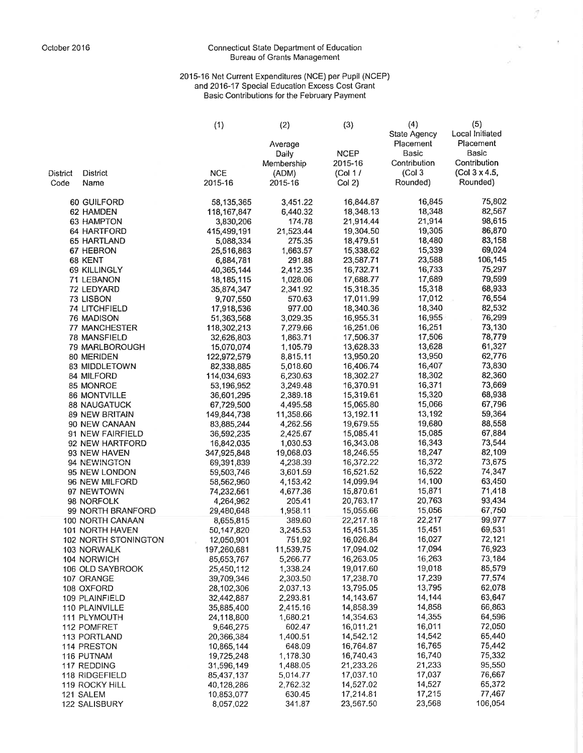### Connecticut State Department of Education<br>Bureau of Grants Management

 $\vec{g}$ 

 $\mathcal{L}_{\mathcal{L}_{\mathcal{L}}}$ 

## 2015-16 Net Current Expenditures (NCE) per Pupil (NCEP)<br>and 2016-17 Special Education Excess Cost Grant<br>Basic Contributions for the February Payment

|          |                         | (1)                       | (2)                  | (3)                    | (4)                 | (5)              |
|----------|-------------------------|---------------------------|----------------------|------------------------|---------------------|------------------|
|          |                         |                           |                      |                        | <b>State Agency</b> | Local Initiated  |
|          |                         |                           | Average              |                        | Placement           | Placement        |
|          |                         |                           | Daily                | <b>NCEP</b>            | Basic               | <b>Basic</b>     |
|          |                         |                           | Membership           | 2015-16                | Contribution        | Contribution     |
| District | <b>District</b>         | <b>NCE</b>                | (ADM)                | (Col 1/                | (Col <sub>3</sub> ) | (Col 3 x 4.5,    |
| Code     | Name                    | 2015-16                   | 2015-16              | $Col2$ )               | Rounded)            | Rounded)         |
|          | 60 GUILFORD             | 58,135,365                | 3,451.22             | 16,844.87              | 16,845              | 75,802           |
|          | 62 HAMDEN               | 118,167,847               | 6,440.32             | 18,348.13              | 18,348              | 82,567           |
|          | 63 HAMPTON              | 3,830,206                 | 174.78               | 21,914.44              | 21,914              | 98,615           |
|          | 64 HARTFORD             | 415,499,191               | 21,523.44            | 19,304.50              | 19,305              | 86,870           |
|          | 65 HARTLAND             | 5,088,334                 | 275.35               | 18,479.51              | 18,480              | 83,158           |
|          | 67 HEBRON               | 25,516,863                | 1,663.57             | 15,338.62              | 15,339              | 69,024           |
|          | 68 KENT                 | 6,884,781                 | 291.88               | 23,587.71              | 23,588              | 106,145          |
|          | 69 KILLINGLY            | 40,365,144                | 2,412.35             | 16,732.71              | 16,733              | 75,297           |
|          | 71 LEBANON              | 18,185,115                | 1,028.06             | 17,688.77              | 17,689              | 79,599           |
|          | 72 LEDYARD              | 35,874,347                | 2,341.92             | 15,318.35              | 15,318              | 68,933           |
|          | 73 LISBON               | 9,707,550                 | 570.63               | 17,011.99              | 17,012              | 76,554           |
|          | 74 LITCHFIELD           | 17,918,536                | 977.00               | 18,340.36              | 18,340              | 82,532           |
|          | <b>76 MADISON</b>       | 51,363,568                | 3,029.35             | 16,955.31              | 16,955              | 76,299           |
|          | 77 MANCHESTER           | 118,302,213               | 7,279.66             | 16,251.06              | 16,251              | 73,130           |
|          | 78 MANSFIELD            | 32,626,803                | 1,863.71             | 17,506.37              | 17,506              | 78,779           |
|          | 79 MARLBOROUGH          | 15,070,074                | 1,105.79             | 13,628.33              | 13,628              | 61,327<br>62,776 |
|          | 80 MERIDEN              | 122,972,579               | 8,815.11             | 13,950.20              | 13,950<br>16,407    | 73,830           |
|          | 83 MIDDLETOWN           | 82,338,885<br>114,034,693 | 5,018.60<br>6,230.63 | 16,406.74<br>18,302.27 | 18,302              | 82,360           |
|          | 84 MILFORD<br>85 MONROE | 53,196,952                | 3,249.48             | 16,370.91              | 16,371              | 73,669           |
|          | 86 MONTVILLE            |                           | 2,389.18             | 15,319.61              | 15,320              | 68,938           |
|          | <b>88 NAUGATUCK</b>     | 36,601,295<br>67,729,500  | 4,495.58             | 15,065.80              | 15,066              | 67,796           |
|          | 89 NEW BRITAIN          | 149,844,738               | 11,358.66            | 13,192.11              | 13,192              | 59,364           |
|          | 90 NEW CANAAN           | 83,885,244                | 4,262.56             | 19,679.55              | 19,680              | 88,558           |
|          | 91 NEW FAIRFIELD        | 36,592,235                | 2,425.67             | 15,085.41              | 15,085              | 67,884           |
|          | 92 NEW HARTFORD         | 16,842,035                | 1,030.53             | 16,343.08              | 16,343              | 73,544           |
|          | 93 NEW HAVEN            | 347,925,848               | 19,068.03            | 18,246.55              | 18,247              | 82,109           |
|          | 94 NEWINGTON            | 69,391,839                | 4,238.39             | 16,372.22              | 16,372              | 73,675           |
|          | 95 NEW LONDON           | 59,503,746                | 3,601.59             | 16,521.52              | 16,522              | 74,347           |
|          | 96 NEW MILFORD          | 58,562,960                | 4,153.42             | 14,099.94              | 14,100              | 63,450           |
|          | 97 NEWTOWN              | 74,232,561                | 4,677.36             | 15,870.61              | 15,871              | 71,418           |
|          | 98 NORFOLK              | 4,264,962                 | 205.41               | 20,763.17              | 20,763              | 93,434           |
|          | 99 NORTH BRANFORD       | 29,480,648                | 1,958.11             | 15,055.66              | 15,056              | 67,750           |
|          | 100 NORTH CANAAN        | 8,655,815                 | 389.60               | 22,217.18              | 22,217              | 99,977           |
|          | 101 NORTH HAVEN         | 50,147,820                | 3,245.53             | 15,451.35              | 15,451              | 69,531           |
|          | 102 NORTH STONINGTON    | 12,050,901                | 751.92               | 16,026.84              | 16,027              | 72,121           |
|          | 103 NORWALK             | 197,260,681               | 11,539.75            | 17,094.02              | 17,094              | 76,923           |
|          | 104 NORWICH             | 85,653,767                | 5,266.77             | 16,263.05              | 16,263              | 73,184           |
|          | 106 OLD SAYBROOK        | 25,450,112                | 1,338.24             | 19,017.60              | 19,018              | 85,579           |
|          | 107 ORANGE              | 39,709,346                | 2,303.50             | 17,238.70              | 17,239              | 77,574           |
|          | 108 OXFORD              | 28,102,306                | 2,037.13             | 13,795.05              | 13,795              | 62,078           |
|          | 109 PLAINFIELD          | 32,442,887                | 2,293.81             | 14,143.67              | 14,144              | 63,647           |
|          | 110 PLAINVILLE          | 35,885,400                | 2,415.16             | 14,858.39              | 14,858              | 66,863           |
|          | 111 PLYMOUTH            | 24,118,800                | 1,680.21             | 14,354.63              | 14,355              | 64,596           |
|          | 112 POMFRET             | 9,646,275                 | 602.47               | 16,011.21              | 16,011              | 72,050           |
|          | 113 PORTLAND            | 20,366,384                | 1,400.51             | 14,542.12              | 14,542              | 65,440           |
|          | 114 PRESTON             | 10,865,144                | 648.09               | 16,764.87              | 16,765              | 75,442           |
|          | 116 PUTNAM              | 19,725,248                | 1,178.30             | 16,740.43              | 16,740              | 75,332           |
|          | 117 REDDING             | 31,596,149                | 1,488.05             | 21,233,26              | 21,233              | 95,550           |
|          | 118 RIDGEFIELD          | 85,437,137                | 5,014.77             | 17,037.10              | 17,037              | 76,667           |
|          | 119 ROCKY HILL          | 40,128,286                | 2,762.32             | 14,527.02              | 14,527              | 65,372           |
|          | 121 SALEM               | 10,853,077                | 630.45               | 17,214.81              | 17,215              | 77,467           |
|          | 122 SALISBURY           | 8,057,022                 | 341.87               | 23,567.50              | 23,568              | 106,054          |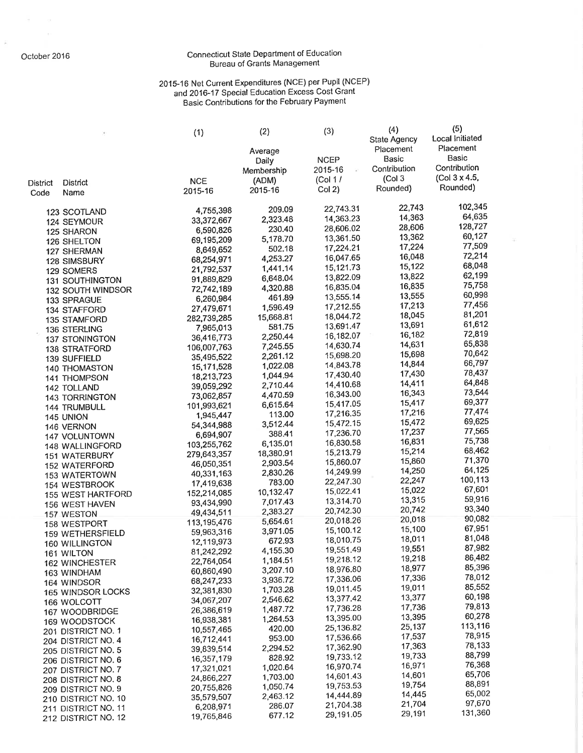$\widetilde{\mu}$ 

 $\mathcal{C}$ 

### Connecticut State Department of Education<br>Bureau of Grants Management

# 2015-16 Net Current Expenditures (NCE) per Pupil (NCEP)<br>and 2016-17 Special Education Excess Cost Grant<br>Basic Contributions for the February Payment

 $\overline{a}$ 

|                         |                                                    | (1)                      | (2)                   | (3)                    | (4)<br><b>State Agency</b> | (5)<br>Local Initiated |
|-------------------------|----------------------------------------------------|--------------------------|-----------------------|------------------------|----------------------------|------------------------|
|                         |                                                    |                          | Average               | <b>NCEP</b>            | Placement<br><b>Basic</b>  | Placement<br>Basic     |
|                         |                                                    |                          | Daily<br>Membership   | 2015-16                | Contribution               | Contribution           |
|                         |                                                    | <b>NCE</b>               | (ADM)                 | (Col 1/                | (Col <sub>3</sub> )        | (Col 3 x 4.5,          |
| <b>District</b><br>Code | District<br>Name                                   | 2015-16                  | 2015-16               | $Col2$ )               | Rounded)                   | Rounded)               |
|                         |                                                    |                          |                       |                        |                            |                        |
|                         | 123 SCOTLAND                                       | 4,755,398                | 209.09                | 22,743.31              | 22,743<br>14,363           | 102,345<br>64,635      |
|                         | 124 SEYMOUR                                        | 33,372,667               | 2,323.48<br>230.40    | 14,363.23<br>28,606.02 | 28,606                     | 128,727                |
|                         | 125 SHARON                                         | 6,590,826                | 5,178.70              | 13,361.50              | 13,362                     | 60,127                 |
|                         | 126 SHELTON                                        | 69,195,209               | 502.18                | 17,224.21              | 17,224                     | 77,509                 |
|                         | 127 SHERMAN                                        | 8,649,652<br>68,254,971  | 4,253.27              | 16,047.65              | 16,048                     | 72,214                 |
|                         | <b>128 SIMSBURY</b>                                | 21,792,537               | 1,441.14              | 15,121.73              | 15,122                     | 68,048                 |
|                         | 129 SOMERS                                         | 91,889,829               | 6,648.04              | 13,822.09              | 13,822                     | 62,199                 |
|                         | <b>131 SOUTHINGTON</b><br><b>132 SOUTH WINDSOR</b> | 72,742,189               | 4,320.88              | 16,835.04              | 16,835                     | 75,758                 |
|                         | 133 SPRAGUE                                        | 6,260,984                | 461.89                | 13,555.14              | 13,555                     | 60,998                 |
|                         | 134 STAFFORD                                       | 27,479,671               | 1,596.49              | 17,212.55              | 17,213                     | 77,456                 |
|                         | 135 STAMFORD                                       | 282,739,285              | 15,668.81             | 18,044.72              | 18,045                     | 81,201                 |
|                         | 136 STERLING                                       | 7,965,013                | 581.75                | 13,691.47              | 13,691                     | 61,612                 |
|                         | <b>137 STONINGTON</b>                              | 36,416,773               | 2,250.44              | 16,182.07              | 16,182                     | 72,819                 |
|                         | 138 STRATFORD                                      | 106,007,763              | 7,245.55              | 14,630.74              | 14,631                     | 65,838                 |
|                         | 139 SUFFIELD                                       | 35,495,522               | 2,261.12              | 15,698.20              | 15,698                     | 70,642                 |
|                         | <b>140 THOMASTON</b>                               | 15,171,528               | 1,022.08              | 14,843.78              | 14,844                     | 66,797                 |
|                         | 141 THOMPSON                                       | 18,213,723               | 1,044.94              | 17,430.40              | 17,430                     | 78,437                 |
|                         | 142 TOLLAND                                        | 39,059,292               | 2,710.44              | 14,410.68              | 14,411                     | 64,848                 |
|                         | <b>143 TORRINGTON</b>                              | 73,062,857               | 4,470.59              | 16,343.00              | 16,343                     | 73,544<br>69,377       |
|                         | 144 TRUMBULL                                       | 101,993,621              | 6,615.64              | 15,417.05              | 15,417                     | 77,474                 |
|                         | 145 UNION                                          | 1,945,447                | 113.00                | 17,216.35              | 17,216<br>15,472           | 69,625                 |
|                         | 146 VERNON                                         | 54,344,988               | 3,512.44              | 15,472.15              | 17,237                     | 77,565                 |
|                         | 147 VOLUNTOWN                                      | 6,694,907                | 388.41                | 17,236.70<br>16,830.58 | 16,831                     | 75,738                 |
|                         | 148 WALLINGFORD                                    | 103,255,762              | 6,135.01              | 15,213.79              | 15,214                     | 68,462                 |
|                         | <b>151 WATERBURY</b>                               | 279,643,357              | 18,380.91<br>2,903.54 | 15,860.07              | 15,860                     | 71,370                 |
|                         | <b>152 WATERFORD</b>                               | 46,050,351<br>40,331,163 | 2,830.26              | 14,249.99              | 14,250                     | 64,125                 |
|                         | <b>153 WATERTOWN</b>                               | 17,419,638               | 783.00                | 22,247.30              | 22,247                     | 100,113                |
|                         | 154 WESTBROOK<br>155 WEST HARTFORD                 | 152,214,085              | 10,132.47             | 15,022.41              | 15,022                     | 67,601                 |
|                         | 156 WEST HAVEN                                     | 93,434,990               | 7,017.43              | 13,314.70              | 13,315                     | 59,916                 |
|                         | 157 WESTON                                         | 49,434,511               | 2,383.27              | 20,742.30              | 20,742                     | 93,340                 |
|                         | 158 WESTPORT                                       | 113,195,476              | 5,654.61              | 20,018.26              | 20,018                     | 90,082                 |
|                         | <b>159 WETHERSFIELD</b>                            | 59,963,316               | 3,971.05              | 15,100.12              | 15,100                     | 67,951                 |
|                         | <b>160 WILLINGTON</b>                              | 12,119,973               | 672.93                | 18,010.75              | 18,011                     | 81,048                 |
|                         | 161 WILTON                                         | 81,242,292               | 4,155.30              | 19,551.49              | 19,551                     | 87,982                 |
|                         | 162 WINCHESTER                                     | 22,764,054               | 1,184.51              | 19,218.12              | 19,218                     | 86,482                 |
|                         | 163 WINDHAM                                        | 60,860,490               | 3,207.10              | 18,976.80              | 18,977                     | 85,396<br>78,012       |
|                         | 164 WINDSOR                                        | 68,247,233               | 3,936.72              | 17,336.06              | 17,336                     | 85,552                 |
|                         | 165 WINDSOR LOCKS                                  | 32,381,830               | 1,703.28              | 19,011.45              | 19,011<br>13,377           | 60,198                 |
|                         | 166 WOLCOTT                                        | 34,067,207               | 2,546.62              | 13,377.42              | 17,736                     | 79,813                 |
|                         | 167 WOODBRIDGE                                     | 26,386,619               | 1,487.72              | 17,736.28<br>13,395.00 | 13,395                     | 60,278                 |
|                         | 169 WOODSTOCK                                      | 16,938,381               | 1,264.53<br>420.00    | 25,136.82              | 25,137                     | 113,116                |
|                         | 201 DISTRICT NO. 1                                 | 10,557,465               | 953.00                | 17,536.66              | 17,537                     | 78,915                 |
|                         | 204 DISTRICT NO. 4                                 | 16,712,441<br>39,839,514 | 2,294.52              | 17,362.90              | 17,363                     | 78,133                 |
|                         | 205 DISTRICT NO. 5                                 | 16,357,179               | 828.92                | 19,733.12              | 19,733                     | 88,799                 |
|                         | 206 DISTRICT NO. 6                                 | 17,321,021               | 1,020.64              | 16,970.74              | 16,971                     | 76,368                 |
|                         | 207 DISTRICT NO. 7<br>208 DISTRICT NO. 8           | 24,866,227               | 1,703.00              | 14,601.43              | 14,601                     | 65,706                 |
|                         | 209 DISTRICT NO. 9                                 | 20,755,826               | 1,050.74              | 19,753.53              | 19,754                     | 88,891                 |
|                         | 210 DISTRICT NO. 10                                | 35,579,507               | 2,463.12              | 14,444.89              | 14,445                     | 65,002                 |
|                         | 211 DISTRICT NO. 11                                | 6,208,971                | 286.07                | 21,704.38              | 21,704                     | 97,670                 |
|                         | 212 DISTRICT NO. 12                                | 19,765,846               | 677.12                | 29,191.05              | 29,191                     | 131,360                |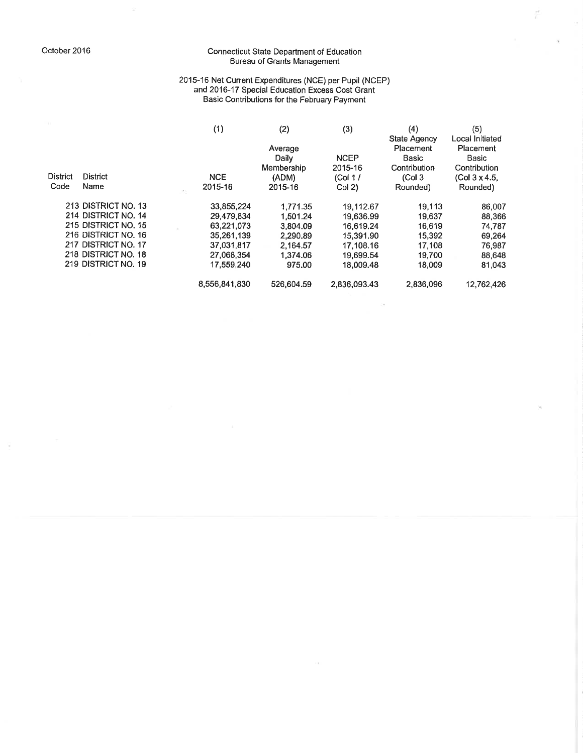$\overline{\omega}$ 

### Connecticut State Department of Education<br>Bureau of Grants Management

É

 $\alpha$ 

 $\bar{g}$ 

## 2015-16 Net Current Expenditures (NCE) per Pupil (NCEP)<br>and 2016-17 Special Education Excess Cost Grant<br>Basic Contributions for the February Payment

|                 |                     | (1)           | (2)        | (3)          | (4)                 | (5)             |
|-----------------|---------------------|---------------|------------|--------------|---------------------|-----------------|
|                 |                     |               |            |              | State Agency        | Local Initiated |
|                 |                     |               | Average    |              | Placement           | Placement       |
|                 |                     |               | Daily      | <b>NCEP</b>  | Basic               | Basic           |
|                 |                     |               | Membership | 2015-16      | Contribution        | Contribution    |
| <b>District</b> | <b>District</b>     | <b>NCE</b>    | (ADM)      | (Col 1/      | (Col <sub>3</sub> ) | (Col 3 x 4.5.   |
| Code            | Name                | 2015-16       | 2015-16    | Col(2)       | Rounded)            | Rounded)        |
|                 | 213 DISTRICT NO. 13 | 33,855,224    | 1.771.35   | 19,112.67    | 19.113              | 86,007          |
|                 | 214 DISTRICT NO. 14 | 29,479,834    | 1.501.24   | 19.636.99    | 19,637              | 88,366          |
|                 | 215 DISTRICT NO. 15 | 63,221,073    | 3.804.09   | 16,619.24    | 16,619              | 74,787          |
|                 | 216 DISTRICT NO. 16 | 35,261,139    | 2.290.89   | 15,391.90    | 15,392              | 69,264          |
|                 | 217 DISTRICT NO. 17 | 37.031.817    | 2.164.57   | 17.108.16    | 17.108              | 76,987          |
|                 | 218 DISTRICT NO. 18 | 27,068,354    | 1.374.06   | 19,699.54    | 19.700              | 88,648          |
|                 | 219 DISTRICT NO. 19 | 17,559,240    | 975.00     | 18.009.48    | 18,009              | 81,043          |
|                 |                     | 8,556,841,830 | 526,604.59 | 2.836.093.43 | 2.836,096           | 12.762.426      |